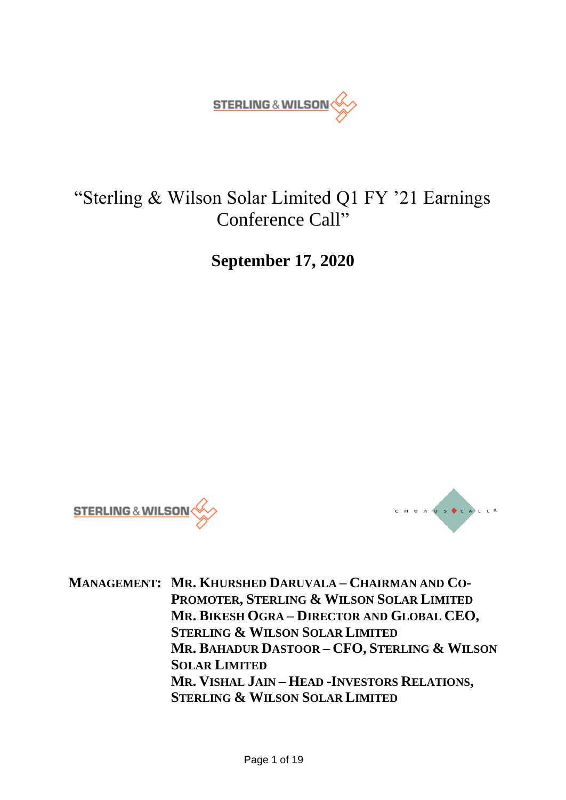

# "Sterling & Wilson Solar Limited Q1 FY '21 Earnings Conference Call"

**September 17, 2020**





**MANAGEMENT: MR. KHURSHED DARUVALA – CHAIRMAN AND CO-PROMOTER, STERLING & WILSON SOLAR LIMITED MR. BIKESH OGRA – DIRECTOR AND GLOBAL CEO, STERLING & WILSON SOLAR LIMITED MR. BAHADUR DASTOOR – CFO, STERLING & WILSON SOLAR LIMITED MR. VISHAL JAIN – HEAD -INVESTORS RELATIONS, STERLING & WILSON SOLAR LIMITED**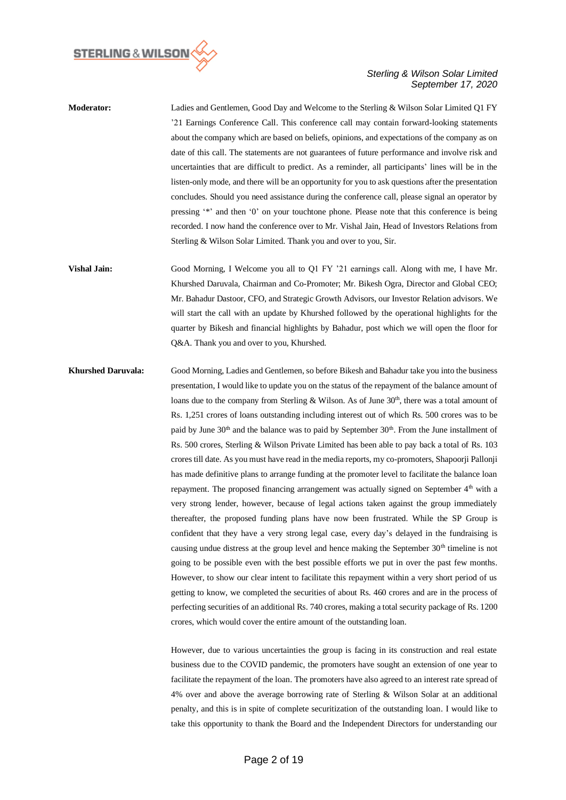

| <b>Moderator:</b> | Ladies and Gentlemen, Good Day and Welcome to the Sterling & Wilson Solar Limited O1 FY               |
|-------------------|-------------------------------------------------------------------------------------------------------|
|                   | <sup>2</sup> 21 Earnings Conference Call. This conference call may contain forward-looking statements |
|                   | about the company which are based on beliefs, opinions, and expectations of the company as on         |
|                   | date of this call. The statements are not guarantees of future performance and involve risk and       |
|                   | uncertainties that are difficult to predict. As a reminder, all participants' lines will be in the    |
|                   | listen-only mode, and there will be an opportunity for you to ask questions after the presentation    |
|                   | concludes. Should you need assistance during the conference call, please signal an operator by        |
|                   | pressing '*' and then '0' on your touchtone phone. Please note that this conference is being          |
|                   | recorded. I now hand the conference over to Mr. Vishal Jain, Head of Investors Relations from         |
|                   | Sterling & Wilson Solar Limited. Thank you and over to you, Sir.                                      |

**Vishal Jain:** Good Morning, I Welcome you all to Q1 FY '21 earnings call. Along with me, I have Mr. Khurshed Daruvala, Chairman and Co-Promoter; Mr. Bikesh Ogra, Director and Global CEO; Mr. Bahadur Dastoor, CFO, and Strategic Growth Advisors, our Investor Relation advisors. We will start the call with an update by Khurshed followed by the operational highlights for the quarter by Bikesh and financial highlights by Bahadur, post which we will open the floor for Q&A. Thank you and over to you, Khurshed.

**Khurshed Daruvala:** Good Morning, Ladies and Gentlemen, so before Bikesh and Bahadur take you into the business presentation, I would like to update you on the status of the repayment of the balance amount of loans due to the company from Sterling & Wilson. As of June  $30<sup>th</sup>$ , there was a total amount of Rs. 1,251 crores of loans outstanding including interest out of which Rs. 500 crores was to be paid by June  $30<sup>th</sup>$  and the balance was to paid by September  $30<sup>th</sup>$ . From the June installment of Rs. 500 crores, Sterling & Wilson Private Limited has been able to pay back a total of Rs. 103 crores till date. As you must have read in the media reports, my co-promoters, Shapoorji Pallonji has made definitive plans to arrange funding at the promoter level to facilitate the balance loan repayment. The proposed financing arrangement was actually signed on September  $4<sup>th</sup>$  with a very strong lender, however, because of legal actions taken against the group immediately thereafter, the proposed funding plans have now been frustrated. While the SP Group is confident that they have a very strong legal case, every day's delayed in the fundraising is causing undue distress at the group level and hence making the September 30<sup>th</sup> timeline is not going to be possible even with the best possible efforts we put in over the past few months. However, to show our clear intent to facilitate this repayment within a very short period of us getting to know, we completed the securities of about Rs. 460 crores and are in the process of perfecting securities of an additional Rs. 740 crores, making a total security package of Rs. 1200 crores, which would cover the entire amount of the outstanding loan.

> However, due to various uncertainties the group is facing in its construction and real estate business due to the COVID pandemic, the promoters have sought an extension of one year to facilitate the repayment of the loan. The promoters have also agreed to an interest rate spread of 4% over and above the average borrowing rate of Sterling & Wilson Solar at an additional penalty, and this is in spite of complete securitization of the outstanding loan. I would like to take this opportunity to thank the Board and the Independent Directors for understanding our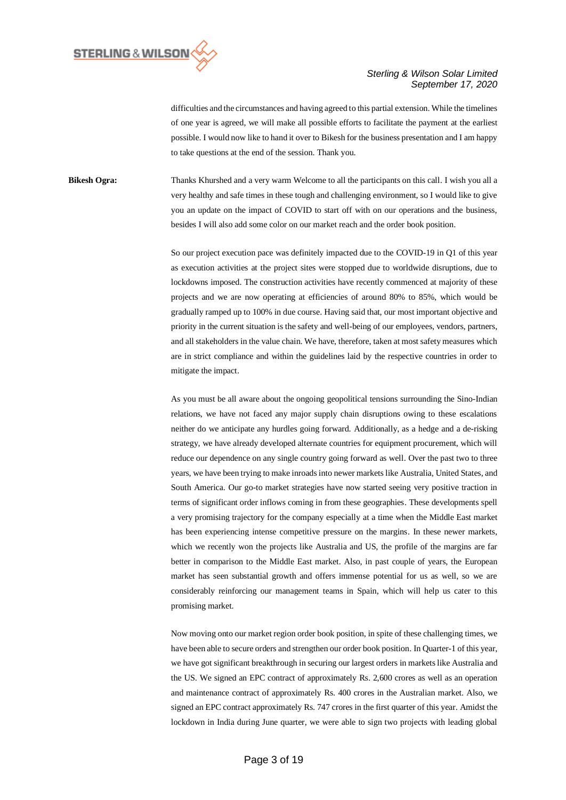

difficulties and the circumstances and having agreed to this partial extension. While the timelines of one year is agreed, we will make all possible efforts to facilitate the payment at the earliest possible. I would now like to hand it over to Bikesh for the business presentation and I am happy to take questions at the end of the session. Thank you.

**Bikesh Ogra:** Thanks Khurshed and a very warm Welcome to all the participants on this call. I wish you all a very healthy and safe times in these tough and challenging environment, so I would like to give you an update on the impact of COVID to start off with on our operations and the business, besides I will also add some color on our market reach and the order book position.

> So our project execution pace was definitely impacted due to the COVID-19 in Q1 of this year as execution activities at the project sites were stopped due to worldwide disruptions, due to lockdowns imposed. The construction activities have recently commenced at majority of these projects and we are now operating at efficiencies of around 80% to 85%, which would be gradually ramped up to 100% in due course. Having said that, our most important objective and priority in the current situation is the safety and well-being of our employees, vendors, partners, and all stakeholders in the value chain. We have, therefore, taken at most safety measures which are in strict compliance and within the guidelines laid by the respective countries in order to mitigate the impact.

> As you must be all aware about the ongoing geopolitical tensions surrounding the Sino-Indian relations, we have not faced any major supply chain disruptions owing to these escalations neither do we anticipate any hurdles going forward. Additionally, as a hedge and a de-risking strategy, we have already developed alternate countries for equipment procurement, which will reduce our dependence on any single country going forward as well. Over the past two to three years, we have been trying to make inroads into newer markets like Australia, United States, and South America. Our go-to market strategies have now started seeing very positive traction in terms of significant order inflows coming in from these geographies. These developments spell a very promising trajectory for the company especially at a time when the Middle East market has been experiencing intense competitive pressure on the margins. In these newer markets, which we recently won the projects like Australia and US, the profile of the margins are far better in comparison to the Middle East market. Also, in past couple of years, the European market has seen substantial growth and offers immense potential for us as well, so we are considerably reinforcing our management teams in Spain, which will help us cater to this promising market.

> Now moving onto our market region order book position, in spite of these challenging times, we have been able to secure orders and strengthen our order book position. In Quarter-1 of this year, we have got significant breakthrough in securing our largest orders in markets like Australia and the US. We signed an EPC contract of approximately Rs. 2,600 crores as well as an operation and maintenance contract of approximately Rs. 400 crores in the Australian market. Also, we signed an EPC contract approximately Rs. 747 crores in the first quarter of this year. Amidst the lockdown in India during June quarter, we were able to sign two projects with leading global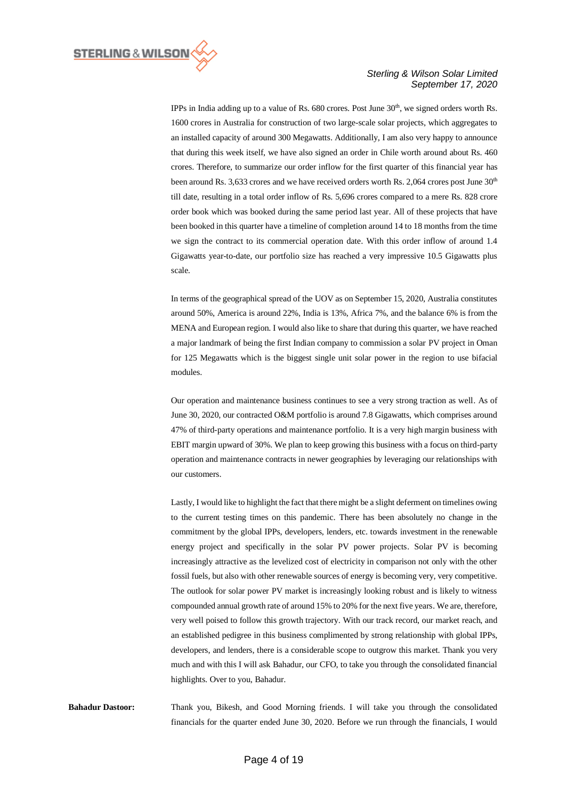

IPPs in India adding up to a value of Rs.  $680$  crores. Post June  $30<sup>th</sup>$ , we signed orders worth Rs. 1600 crores in Australia for construction of two large-scale solar projects, which aggregates to an installed capacity of around 300 Megawatts. Additionally, I am also very happy to announce that during this week itself, we have also signed an order in Chile worth around about Rs. 460 crores. Therefore, to summarize our order inflow for the first quarter of this financial year has been around Rs. 3,633 crores and we have received orders worth Rs. 2,064 crores post June  $30<sup>th</sup>$ till date, resulting in a total order inflow of Rs. 5,696 crores compared to a mere Rs. 828 crore order book which was booked during the same period last year. All of these projects that have been booked in this quarter have a timeline of completion around 14 to 18 months from the time we sign the contract to its commercial operation date. With this order inflow of around 1.4 Gigawatts year-to-date, our portfolio size has reached a very impressive 10.5 Gigawatts plus scale.

In terms of the geographical spread of the UOV as on September 15, 2020, Australia constitutes around 50%, America is around 22%, India is 13%, Africa 7%, and the balance 6% is from the MENA and European region. I would also like to share that during this quarter, we have reached a major landmark of being the first Indian company to commission a solar PV project in Oman for 125 Megawatts which is the biggest single unit solar power in the region to use bifacial modules.

Our operation and maintenance business continues to see a very strong traction as well. As of June 30, 2020, our contracted O&M portfolio is around 7.8 Gigawatts, which comprises around 47% of third-party operations and maintenance portfolio. It is a very high margin business with EBIT margin upward of 30%. We plan to keep growing this business with a focus on third-party operation and maintenance contracts in newer geographies by leveraging our relationships with our customers.

Lastly, I would like to highlight the fact that there might be a slight deferment on timelines owing to the current testing times on this pandemic. There has been absolutely no change in the commitment by the global IPPs, developers, lenders, etc. towards investment in the renewable energy project and specifically in the solar PV power projects. Solar PV is becoming increasingly attractive as the levelized cost of electricity in comparison not only with the other fossil fuels, but also with other renewable sources of energy is becoming very, very competitive. The outlook for solar power PV market is increasingly looking robust and is likely to witness compounded annual growth rate of around 15% to 20% for the next five years. We are, therefore, very well poised to follow this growth trajectory. With our track record, our market reach, and an established pedigree in this business complimented by strong relationship with global IPPs, developers, and lenders, there is a considerable scope to outgrow this market. Thank you very much and with this I will ask Bahadur, our CFO, to take you through the consolidated financial highlights. Over to you, Bahadur.

**Bahadur Dastoor:** Thank you, Bikesh, and Good Morning friends. I will take you through the consolidated financials for the quarter ended June 30, 2020. Before we run through the financials, I would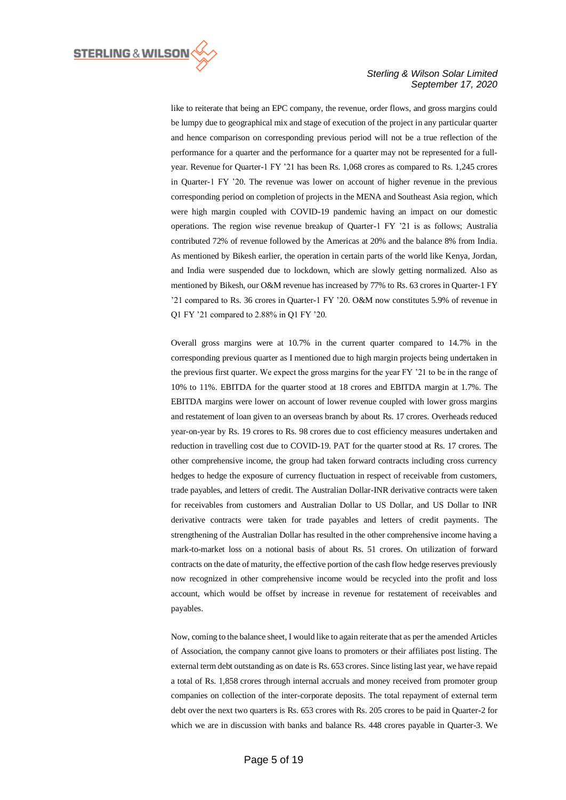

like to reiterate that being an EPC company, the revenue, order flows, and gross margins could be lumpy due to geographical mix and stage of execution of the project in any particular quarter and hence comparison on corresponding previous period will not be a true reflection of the performance for a quarter and the performance for a quarter may not be represented for a fullyear. Revenue for Quarter-1 FY '21 has been Rs. 1,068 crores as compared to Rs. 1,245 crores in Quarter-1 FY '20. The revenue was lower on account of higher revenue in the previous corresponding period on completion of projects in the MENA and Southeast Asia region, which were high margin coupled with COVID-19 pandemic having an impact on our domestic operations. The region wise revenue breakup of Quarter-1 FY '21 is as follows; Australia contributed 72% of revenue followed by the Americas at 20% and the balance 8% from India. As mentioned by Bikesh earlier, the operation in certain parts of the world like Kenya, Jordan, and India were suspended due to lockdown, which are slowly getting normalized. Also as mentioned by Bikesh, our O&M revenue has increased by 77% to Rs. 63 crores in Quarter-1 FY '21 compared to Rs. 36 crores in Quarter-1 FY '20. O&M now constitutes 5.9% of revenue in Q1 FY '21 compared to 2.88% in Q1 FY '20.

Overall gross margins were at 10.7% in the current quarter compared to 14.7% in the corresponding previous quarter as I mentioned due to high margin projects being undertaken in the previous first quarter. We expect the gross margins for the year FY '21 to be in the range of 10% to 11%. EBITDA for the quarter stood at 18 crores and EBITDA margin at 1.7%. The EBITDA margins were lower on account of lower revenue coupled with lower gross margins and restatement of loan given to an overseas branch by about Rs. 17 crores. Overheads reduced year-on-year by Rs. 19 crores to Rs. 98 crores due to cost efficiency measures undertaken and reduction in travelling cost due to COVID-19. PAT for the quarter stood at Rs. 17 crores. The other comprehensive income, the group had taken forward contracts including cross currency hedges to hedge the exposure of currency fluctuation in respect of receivable from customers, trade payables, and letters of credit. The Australian Dollar-INR derivative contracts were taken for receivables from customers and Australian Dollar to US Dollar, and US Dollar to INR derivative contracts were taken for trade payables and letters of credit payments. The strengthening of the Australian Dollar has resulted in the other comprehensive income having a mark-to-market loss on a notional basis of about Rs. 51 crores. On utilization of forward contracts on the date of maturity, the effective portion of the cash flow hedge reserves previously now recognized in other comprehensive income would be recycled into the profit and loss account, which would be offset by increase in revenue for restatement of receivables and payables.

Now, coming to the balance sheet, I would like to again reiterate that as per the amended Articles of Association, the company cannot give loans to promoters or their affiliates post listing. The external term debt outstanding as on date is Rs. 653 crores. Since listing last year, we have repaid a total of Rs. 1,858 crores through internal accruals and money received from promoter group companies on collection of the inter-corporate deposits. The total repayment of external term debt over the next two quarters is Rs. 653 crores with Rs. 205 crores to be paid in Quarter-2 for which we are in discussion with banks and balance Rs. 448 crores payable in Quarter-3. We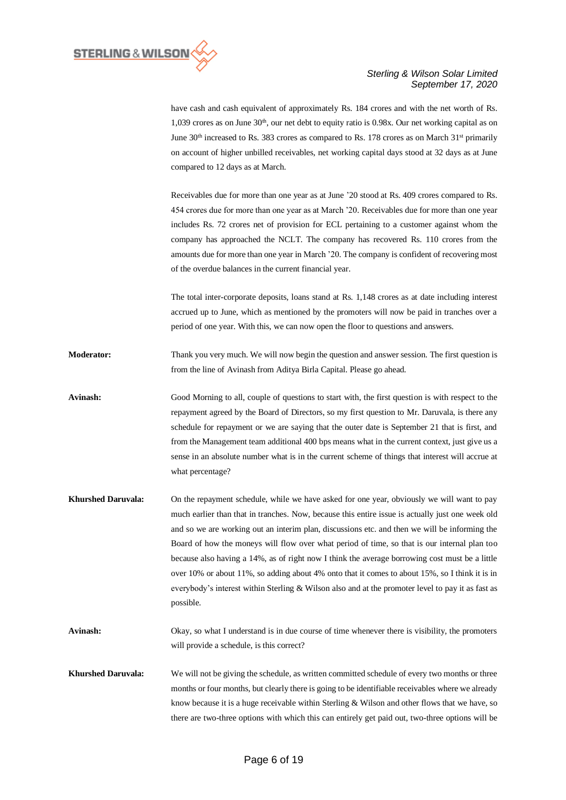

have cash and cash equivalent of approximately Rs. 184 crores and with the net worth of Rs. 1,039 crores as on June  $30<sup>th</sup>$ , our net debt to equity ratio is 0.98x. Our net working capital as on June 30<sup>th</sup> increased to Rs. 383 crores as compared to Rs. 178 crores as on March 31<sup>st</sup> primarily on account of higher unbilled receivables, net working capital days stood at 32 days as at June compared to 12 days as at March.

Receivables due for more than one year as at June '20 stood at Rs. 409 crores compared to Rs. 454 crores due for more than one year as at March '20. Receivables due for more than one year includes Rs. 72 crores net of provision for ECL pertaining to a customer against whom the company has approached the NCLT. The company has recovered Rs. 110 crores from the amounts due for more than one year in March '20. The company is confident of recovering most of the overdue balances in the current financial year.

The total inter-corporate deposits, loans stand at Rs. 1,148 crores as at date including interest accrued up to June, which as mentioned by the promoters will now be paid in tranches over a period of one year. With this, we can now open the floor to questions and answers.

**Moderator:** Thank you very much. We will now begin the question and answer session. The first question is from the line of Avinash from Aditya Birla Capital. Please go ahead.

- **Avinash:** Good Morning to all, couple of questions to start with, the first question is with respect to the repayment agreed by the Board of Directors, so my first question to Mr. Daruvala, is there any schedule for repayment or we are saying that the outer date is September 21 that is first, and from the Management team additional 400 bps means what in the current context, just give us a sense in an absolute number what is in the current scheme of things that interest will accrue at what percentage?
- **Khurshed Daruvala:** On the repayment schedule, while we have asked for one year, obviously we will want to pay much earlier than that in tranches. Now, because this entire issue is actually just one week old and so we are working out an interim plan, discussions etc. and then we will be informing the Board of how the moneys will flow over what period of time, so that is our internal plan too because also having a 14%, as of right now I think the average borrowing cost must be a little over 10% or about 11%, so adding about 4% onto that it comes to about 15%, so I think it is in everybody's interest within Sterling & Wilson also and at the promoter level to pay it as fast as possible.
- Avinash: Okay, so what I understand is in due course of time whenever there is visibility, the promoters will provide a schedule, is this correct?
- **Khurshed Daruvala:** We will not be giving the schedule, as written committed schedule of every two months or three months or four months, but clearly there is going to be identifiable receivables where we already know because it is a huge receivable within Sterling & Wilson and other flows that we have, so there are two-three options with which this can entirely get paid out, two-three options will be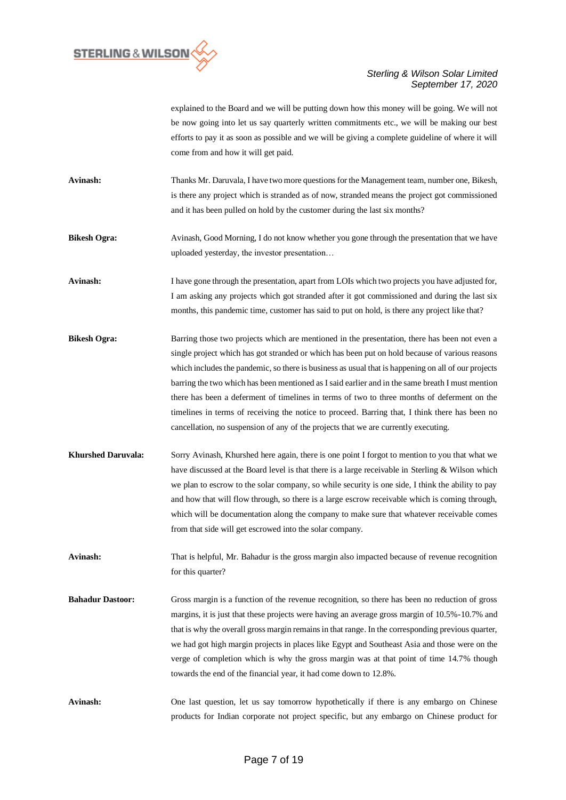

explained to the Board and we will be putting down how this money will be going. We will not be now going into let us say quarterly written commitments etc., we will be making our best efforts to pay it as soon as possible and we will be giving a complete guideline of where it will come from and how it will get paid.

**Avinash:** Thanks Mr. Daruvala, I have two more questions for the Management team, number one, Bikesh, is there any project which is stranded as of now, stranded means the project got commissioned and it has been pulled on hold by the customer during the last six months?

**Bikesh Ogra:** Avinash, Good Morning, I do not know whether you gone through the presentation that we have uploaded yesterday, the investor presentation…

**Avinash:** I have gone through the presentation, apart from LOIs which two projects you have adjusted for, I am asking any projects which got stranded after it got commissioned and during the last six months, this pandemic time, customer has said to put on hold, is there any project like that?

- **Bikesh Ogra:** Barring those two projects which are mentioned in the presentation, there has been not even a single project which has got stranded or which has been put on hold because of various reasons which includes the pandemic, so there is business as usual that is happening on all of our projects barring the two which has been mentioned as I said earlier and in the same breath I must mention there has been a deferment of timelines in terms of two to three months of deferment on the timelines in terms of receiving the notice to proceed. Barring that, I think there has been no cancellation, no suspension of any of the projects that we are currently executing.
- **Khurshed Daruvala:** Sorry Avinash, Khurshed here again, there is one point I forgot to mention to you that what we have discussed at the Board level is that there is a large receivable in Sterling & Wilson which we plan to escrow to the solar company, so while security is one side, I think the ability to pay and how that will flow through, so there is a large escrow receivable which is coming through, which will be documentation along the company to make sure that whatever receivable comes from that side will get escrowed into the solar company.

**Avinash:** That is helpful, Mr. Bahadur is the gross margin also impacted because of revenue recognition for this quarter?

- **Bahadur Dastoor:** Gross margin is a function of the revenue recognition, so there has been no reduction of gross margins, it is just that these projects were having an average gross margin of 10.5%-10.7% and that is why the overall gross margin remains in that range. In the corresponding previous quarter, we had got high margin projects in places like Egypt and Southeast Asia and those were on the verge of completion which is why the gross margin was at that point of time 14.7% though towards the end of the financial year, it had come down to 12.8%.
- **Avinash:** One last question, let us say tomorrow hypothetically if there is any embargo on Chinese products for Indian corporate not project specific, but any embargo on Chinese product for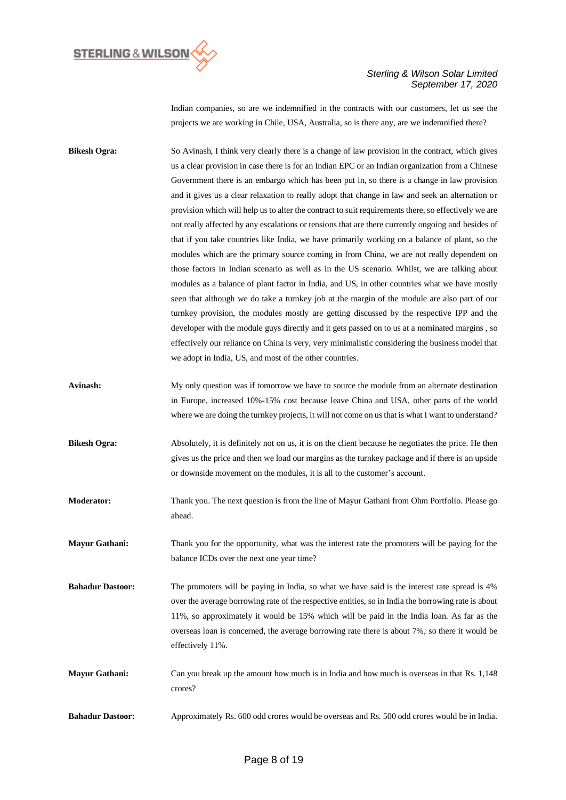

Indian companies, so are we indemnified in the contracts with our customers, let us see the projects we are working in Chile, USA, Australia, so is there any, are we indemnified there?

**Bikesh Ogra:** So Avinash, I think very clearly there is a change of law provision in the contract, which gives us a clear provision in case there is for an Indian EPC or an Indian organization from a Chinese Government there is an embargo which has been put in, so there is a change in law provision and it gives us a clear relaxation to really adopt that change in law and seek an alternation or provision which will help us to alter the contract to suit requirements there, so effectively we are not really affected by any escalations or tensions that are there currently ongoing and besides of that if you take countries like India, we have primarily working on a balance of plant, so the modules which are the primary source coming in from China, we are not really dependent on those factors in Indian scenario as well as in the US scenario. Whilst, we are talking about modules as a balance of plant factor in India, and US, in other countries what we have mostly seen that although we do take a turnkey job at the margin of the module are also part of our turnkey provision, the modules mostly are getting discussed by the respective IPP and the developer with the module guys directly and it gets passed on to us at a nominated margins , so effectively our reliance on China is very, very minimalistic considering the business model that we adopt in India, US, and most of the other countries.

- **Avinash:** My only question was if tomorrow we have to source the module from an alternate destination in Europe, increased 10%-15% cost because leave China and USA, other parts of the world where we are doing the turnkey projects, it will not come on us that is what I want to understand?
- **Bikesh Ogra:** Absolutely, it is definitely not on us, it is on the client because he negotiates the price. He then gives us the price and then we load our margins as the turnkey package and if there is an upside or downside movement on the modules, it is all to the customer's account.
- **Moderator:** Thank you. The next question is from the line of Mayur Gathani from Ohm Portfolio. Please go ahead.
- **Mayur Gathani:** Thank you for the opportunity, what was the interest rate the promoters will be paying for the balance ICDs over the next one year time?
- **Bahadur Dastoor:** The promoters will be paying in India, so what we have said is the interest rate spread is 4% over the average borrowing rate of the respective entities, so in India the borrowing rate is about 11%, so approximately it would be 15% which will be paid in the India loan. As far as the overseas loan is concerned, the average borrowing rate there is about 7%, so there it would be effectively 11%.
- **Mayur Gathani:** Can you break up the amount how much is in India and how much is overseas in that Rs. 1,148 crores?
- **Bahadur Dastoor:** Approximately Rs. 600 odd crores would be overseas and Rs. 500 odd crores would be in India.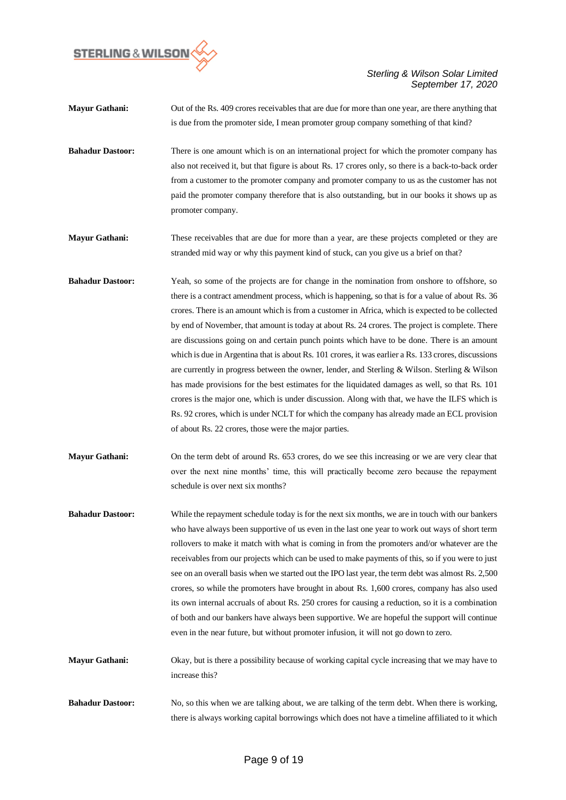

**Mayur Gathani:** Out of the Rs. 409 crores receivables that are due for more than one year, are there anything that is due from the promoter side, I mean promoter group company something of that kind?

**Bahadur Dastoor:** There is one amount which is on an international project for which the promoter company has also not received it, but that figure is about Rs. 17 crores only, so there is a back-to-back order from a customer to the promoter company and promoter company to us as the customer has not paid the promoter company therefore that is also outstanding, but in our books it shows up as promoter company.

**Mayur Gathani:** These receivables that are due for more than a year, are these projects completed or they are stranded mid way or why this payment kind of stuck, can you give us a brief on that?

- **Bahadur Dastoor:** Yeah, so some of the projects are for change in the nomination from onshore to offshore, so there is a contract amendment process, which is happening, so that is for a value of about Rs. 36 crores. There is an amount which is from a customer in Africa, which is expected to be collected by end of November, that amount is today at about Rs. 24 crores. The project is complete. There are discussions going on and certain punch points which have to be done. There is an amount which is due in Argentina that is about Rs. 101 crores, it was earlier a Rs. 133 crores, discussions are currently in progress between the owner, lender, and Sterling & Wilson. Sterling & Wilson has made provisions for the best estimates for the liquidated damages as well, so that Rs. 101 crores is the major one, which is under discussion. Along with that, we have the ILFS which is Rs. 92 crores, which is under NCLT for which the company has already made an ECL provision of about Rs. 22 crores, those were the major parties.
- **Mayur Gathani:** On the term debt of around Rs. 653 crores, do we see this increasing or we are very clear that over the next nine months' time, this will practically become zero because the repayment schedule is over next six months?
- **Bahadur Dastoor:** While the repayment schedule today is for the next six months, we are in touch with our bankers who have always been supportive of us even in the last one year to work out ways of short term rollovers to make it match with what is coming in from the promoters and/or whatever are the receivables from our projects which can be used to make payments of this, so if you were to just see on an overall basis when we started out the IPO last year, the term debt was almost Rs. 2,500 crores, so while the promoters have brought in about Rs. 1,600 crores, company has also used its own internal accruals of about Rs. 250 crores for causing a reduction, so it is a combination of both and our bankers have always been supportive. We are hopeful the support will continue even in the near future, but without promoter infusion, it will not go down to zero.

**Mayur Gathani:** Okay, but is there a possibility because of working capital cycle increasing that we may have to increase this?

**Bahadur Dastoor:** No, so this when we are talking about, we are talking of the term debt. When there is working, there is always working capital borrowings which does not have a timeline affiliated to it which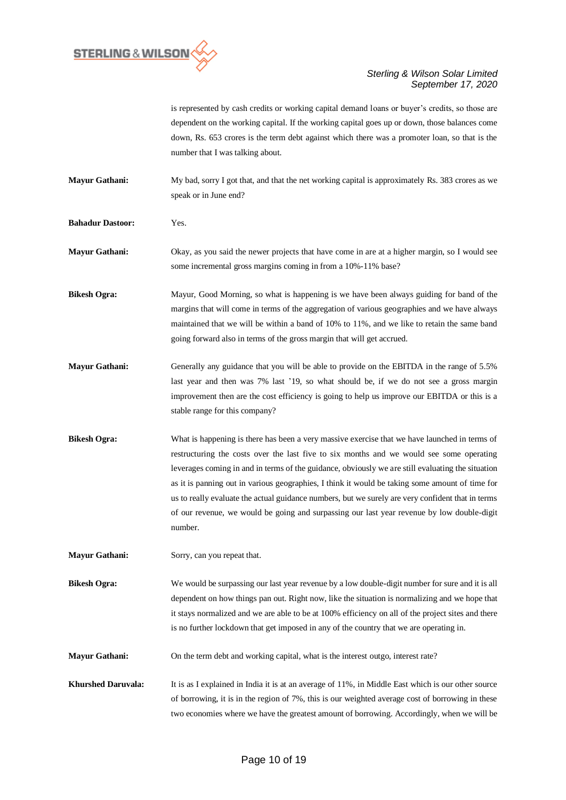

is represented by cash credits or working capital demand loans or buyer's credits, so those are dependent on the working capital. If the working capital goes up or down, those balances come down, Rs. 653 crores is the term debt against which there was a promoter loan, so that is the number that I was talking about.

**Mayur Gathani:** My bad, sorry I got that, and that the net working capital is approximately Rs. 383 crores as we speak or in June end?

**Bahadur Dastoor:** Yes.

**Mayur Gathani:** Okay, as you said the newer projects that have come in are at a higher margin, so I would see some incremental gross margins coming in from a 10%-11% base?

**Bikesh Ogra:** Mayur, Good Morning, so what is happening is we have been always guiding for band of the margins that will come in terms of the aggregation of various geographies and we have always maintained that we will be within a band of 10% to 11%, and we like to retain the same band going forward also in terms of the gross margin that will get accrued.

- **Mayur Gathani:** Generally any guidance that you will be able to provide on the EBITDA in the range of 5.5% last year and then was 7% last '19, so what should be, if we do not see a gross margin improvement then are the cost efficiency is going to help us improve our EBITDA or this is a stable range for this company?
- **Bikesh Ogra:** What is happening is there has been a very massive exercise that we have launched in terms of restructuring the costs over the last five to six months and we would see some operating leverages coming in and in terms of the guidance, obviously we are still evaluating the situation as it is panning out in various geographies, I think it would be taking some amount of time for us to really evaluate the actual guidance numbers, but we surely are very confident that in terms of our revenue, we would be going and surpassing our last year revenue by low double-digit number.

**Mayur Gathani:** Sorry, can you repeat that.

**Bikesh Ogra:** We would be surpassing our last year revenue by a low double-digit number for sure and it is all dependent on how things pan out. Right now, like the situation is normalizing and we hope that it stays normalized and we are able to be at 100% efficiency on all of the project sites and there is no further lockdown that get imposed in any of the country that we are operating in.

**Mayur Gathani:** On the term debt and working capital, what is the interest outgo, interest rate?

**Khurshed Daruvala:** It is as I explained in India it is at an average of 11%, in Middle East which is our other source of borrowing, it is in the region of 7%, this is our weighted average cost of borrowing in these two economies where we have the greatest amount of borrowing. Accordingly, when we will be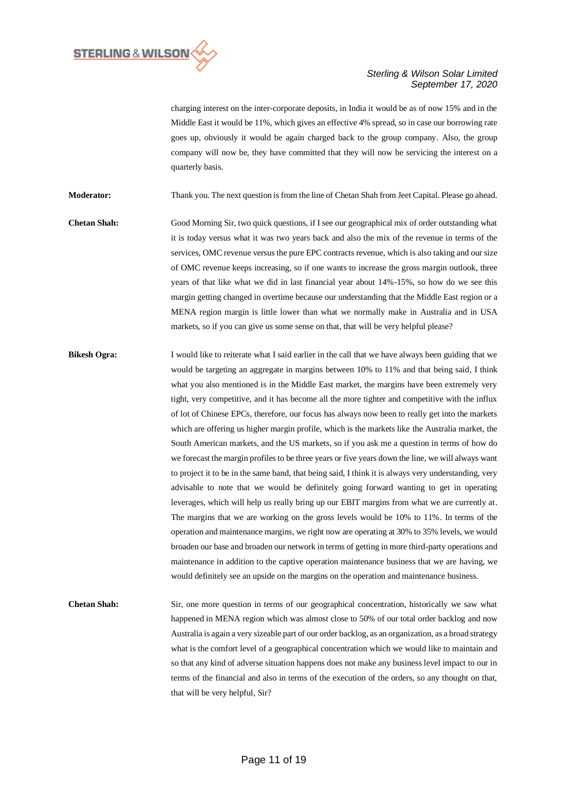

charging interest on the inter-corporate deposits, in India it would be as of now 15% and in the Middle East it would be 11%, which gives an effective 4% spread, so in case our borrowing rate goes up, obviously it would be again charged back to the group company. Also, the group company will now be, they have committed that they will now be servicing the interest on a quarterly basis.

**Moderator:** Thank you. The next question is from the line of Chetan Shah from Jeet Capital. Please go ahead.

- **Chetan Shah:** Good Morning Sir, two quick questions, if I see our geographical mix of order outstanding what it is today versus what it was two years back and also the mix of the revenue in terms of the services, OMC revenue versus the pure EPC contracts revenue, which is also taking and our size of OMC revenue keeps increasing, so if one wants to increase the gross margin outlook, three years of that like what we did in last financial year about 14%-15%, so how do we see this margin getting changed in overtime because our understanding that the Middle East region or a MENA region margin is little lower than what we normally make in Australia and in USA markets, so if you can give us some sense on that, that will be very helpful please?
- **Bikesh Ogra:** I would like to reiterate what I said earlier in the call that we have always been guiding that we would be targeting an aggregate in margins between 10% to 11% and that being said, I think what you also mentioned is in the Middle East market, the margins have been extremely very tight, very competitive, and it has become all the more tighter and competitive with the influx of lot of Chinese EPCs, therefore, our focus has always now been to really get into the markets which are offering us higher margin profile, which is the markets like the Australia market, the South American markets, and the US markets, so if you ask me a question in terms of how do we forecast the margin profiles to be three years or five years down the line, we will always want to project it to be in the same band, that being said, I think it is always very understanding, very advisable to note that we would be definitely going forward wanting to get in operating leverages, which will help us really bring up our EBIT margins from what we are currently at. The margins that we are working on the gross levels would be 10% to 11%. In terms of the operation and maintenance margins, we right now are operating at 30% to 35% levels, we would broaden our base and broaden our network in terms of getting in more third-party operations and maintenance in addition to the captive operation maintenance business that we are having, we would definitely see an upside on the margins on the operation and maintenance business.
- **Chetan Shah:** Sir, one more question in terms of our geographical concentration, historically we saw what happened in MENA region which was almost close to 50% of our total order backlog and now Australia is again a very sizeable part of our order backlog, as an organization, as a broad strategy what is the comfort level of a geographical concentration which we would like to maintain and so that any kind of adverse situation happens does not make any business level impact to our in terms of the financial and also in terms of the execution of the orders, so any thought on that, that will be very helpful, Sir?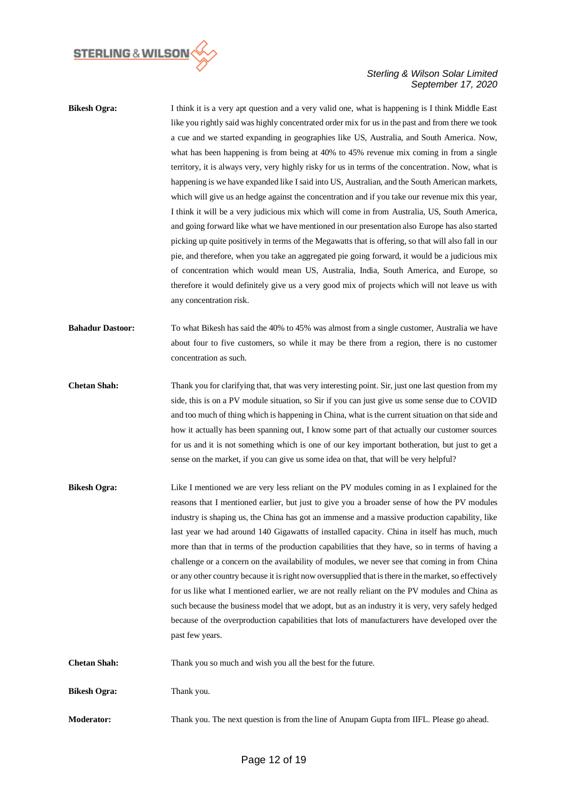

| <b>Bikesh Ogra:</b>     | I think it is a very apt question and a very valid one, what is happening is I think Middle East<br>like you rightly said was highly concentrated order mix for us in the past and from there we took<br>a cue and we started expanding in geographies like US, Australia, and South America. Now,<br>what has been happening is from being at 40% to 45% revenue mix coming in from a single<br>territory, it is always very, very highly risky for us in terms of the concentration. Now, what is<br>happening is we have expanded like I said into US, Australian, and the South American markets,<br>which will give us an hedge against the concentration and if you take our revenue mix this year,<br>I think it will be a very judicious mix which will come in from Australia, US, South America,<br>and going forward like what we have mentioned in our presentation also Europe has also started<br>picking up quite positively in terms of the Megawatts that is offering, so that will also fall in our<br>pie, and therefore, when you take an aggregated pie going forward, it would be a judicious mix<br>of concentration which would mean US, Australia, India, South America, and Europe, so<br>therefore it would definitely give us a very good mix of projects which will not leave us with<br>any concentration risk. |
|-------------------------|-----------------------------------------------------------------------------------------------------------------------------------------------------------------------------------------------------------------------------------------------------------------------------------------------------------------------------------------------------------------------------------------------------------------------------------------------------------------------------------------------------------------------------------------------------------------------------------------------------------------------------------------------------------------------------------------------------------------------------------------------------------------------------------------------------------------------------------------------------------------------------------------------------------------------------------------------------------------------------------------------------------------------------------------------------------------------------------------------------------------------------------------------------------------------------------------------------------------------------------------------------------------------------------------------------------------------------------------------|
| <b>Bahadur Dastoor:</b> | To what Bikesh has said the 40% to 45% was almost from a single customer, Australia we have<br>about four to five customers, so while it may be there from a region, there is no customer<br>concentration as such.                                                                                                                                                                                                                                                                                                                                                                                                                                                                                                                                                                                                                                                                                                                                                                                                                                                                                                                                                                                                                                                                                                                           |
| <b>Chetan Shah:</b>     | Thank you for clarifying that, that was very interesting point. Sir, just one last question from my<br>side, this is on a PV module situation, so Sir if you can just give us some sense due to COVID<br>and too much of thing which is happening in China, what is the current situation on that side and<br>how it actually has been spanning out, I know some part of that actually our customer sources<br>for us and it is not something which is one of our key important botheration, but just to get a<br>sense on the market, if you can give us some idea on that, that will be very helpful?                                                                                                                                                                                                                                                                                                                                                                                                                                                                                                                                                                                                                                                                                                                                       |
| <b>Bikesh Ogra:</b>     | Like I mentioned we are very less reliant on the PV modules coming in as I explained for the<br>reasons that I mentioned earlier, but just to give you a broader sense of how the PV modules<br>industry is shaping us, the China has got an immense and a massive production capability, like<br>last year we had around 140 Gigawatts of installed capacity. China in itself has much, much<br>more than that in terms of the production capabilities that they have, so in terms of having a<br>challenge or a concern on the availability of modules, we never see that coming in from China<br>or any other country because it is right now oversupplied that is there in the market, so effectively<br>for us like what I mentioned earlier, we are not really reliant on the PV modules and China as<br>such because the business model that we adopt, but as an industry it is very, very safely hedged<br>because of the overproduction capabilities that lots of manufacturers have developed over the<br>past few years.                                                                                                                                                                                                                                                                                                           |
| <b>Chetan Shah:</b>     | Thank you so much and wish you all the best for the future.                                                                                                                                                                                                                                                                                                                                                                                                                                                                                                                                                                                                                                                                                                                                                                                                                                                                                                                                                                                                                                                                                                                                                                                                                                                                                   |
| <b>Bikesh Ogra:</b>     | Thank you.                                                                                                                                                                                                                                                                                                                                                                                                                                                                                                                                                                                                                                                                                                                                                                                                                                                                                                                                                                                                                                                                                                                                                                                                                                                                                                                                    |
| <b>Moderator:</b>       | Thank you. The next question is from the line of Anupam Gupta from IIFL. Please go ahead.                                                                                                                                                                                                                                                                                                                                                                                                                                                                                                                                                                                                                                                                                                                                                                                                                                                                                                                                                                                                                                                                                                                                                                                                                                                     |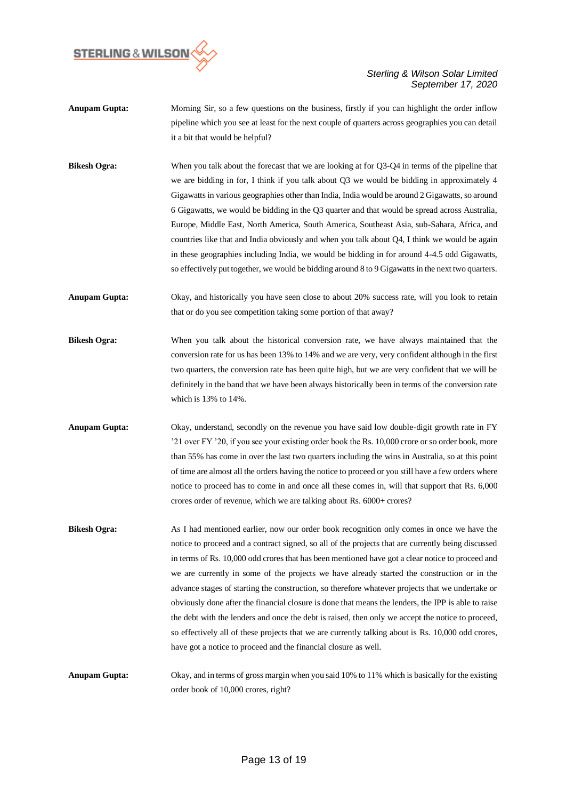

- **Anupam Gupta:** Morning Sir, so a few questions on the business, firstly if you can highlight the order inflow pipeline which you see at least for the next couple of quarters across geographies you can detail it a bit that would be helpful?
- **Bikesh Ogra:** When you talk about the forecast that we are looking at for Q3-Q4 in terms of the pipeline that we are bidding in for, I think if you talk about Q3 we would be bidding in approximately 4 Gigawatts in various geographies other than India, India would be around 2 Gigawatts, so around 6 Gigawatts, we would be bidding in the Q3 quarter and that would be spread across Australia, Europe, Middle East, North America, South America, Southeast Asia, sub-Sahara, Africa, and countries like that and India obviously and when you talk about Q4, I think we would be again in these geographies including India, we would be bidding in for around 4-4.5 odd Gigawatts, so effectively put together, we would be bidding around 8 to 9 Gigawatts in the next two quarters.
- **Anupam Gupta:** Okay, and historically you have seen close to about 20% success rate, will you look to retain that or do you see competition taking some portion of that away?
- **Bikesh Ogra:** When you talk about the historical conversion rate, we have always maintained that the conversion rate for us has been 13% to 14% and we are very, very confident although in the first two quarters, the conversion rate has been quite high, but we are very confident that we will be definitely in the band that we have been always historically been in terms of the conversion rate which is 13% to 14%.
- **Anupam Gupta:** Okay, understand, secondly on the revenue you have said low double-digit growth rate in FY '21 over FY '20, if you see your existing order book the Rs. 10,000 crore or so order book, more than 55% has come in over the last two quarters including the wins in Australia, so at this point of time are almost all the orders having the notice to proceed or you still have a few orders where notice to proceed has to come in and once all these comes in, will that support that Rs. 6,000 crores order of revenue, which we are talking about Rs. 6000+ crores?
- **Bikesh Ogra:** As I had mentioned earlier, now our order book recognition only comes in once we have the notice to proceed and a contract signed, so all of the projects that are currently being discussed in terms of Rs. 10,000 odd crores that has been mentioned have got a clear notice to proceed and we are currently in some of the projects we have already started the construction or in the advance stages of starting the construction, so therefore whatever projects that we undertake or obviously done after the financial closure is done that means the lenders, the IPP is able to raise the debt with the lenders and once the debt is raised, then only we accept the notice to proceed, so effectively all of these projects that we are currently talking about is Rs. 10,000 odd crores, have got a notice to proceed and the financial closure as well.
- **Anupam Gupta:** Okay, and in terms of gross margin when you said 10% to 11% which is basically for the existing order book of 10,000 crores, right?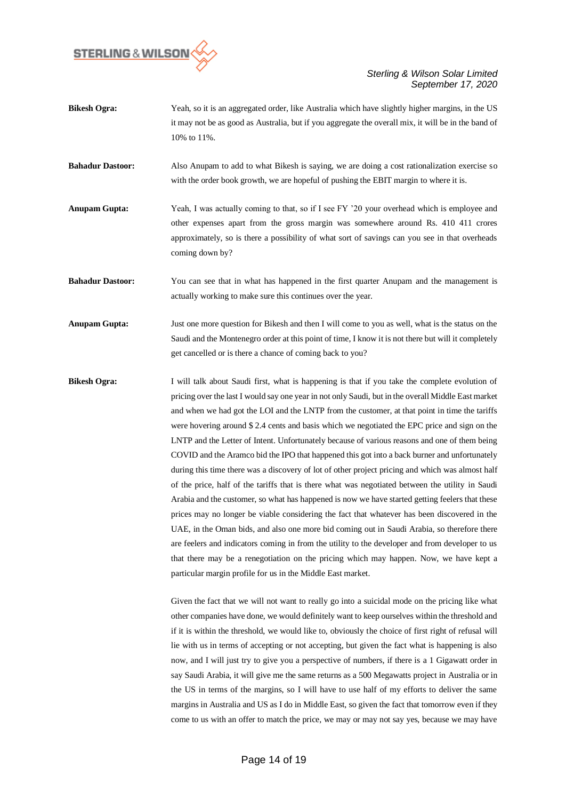

- **Bikesh Ogra:** Yeah, so it is an aggregated order, like Australia which have slightly higher margins, in the US it may not be as good as Australia, but if you aggregate the overall mix, it will be in the band of 10% to 11%.
- **Bahadur Dastoor:** Also Anupam to add to what Bikesh is saying, we are doing a cost rationalization exercise so with the order book growth, we are hopeful of pushing the EBIT margin to where it is.
- **Anupam Gupta:** Yeah, I was actually coming to that, so if I see FY '20 your overhead which is employee and other expenses apart from the gross margin was somewhere around Rs. 410 411 crores approximately, so is there a possibility of what sort of savings can you see in that overheads coming down by?
- **Bahadur Dastoor:** You can see that in what has happened in the first quarter Anupam and the management is actually working to make sure this continues over the year.
- **Anupam Gupta:** Just one more question for Bikesh and then I will come to you as well, what is the status on the Saudi and the Montenegro order at this point of time, I know it is not there but will it completely get cancelled or is there a chance of coming back to you?
- **Bikesh Ogra:** I will talk about Saudi first, what is happening is that if you take the complete evolution of pricing over the last I would say one year in not only Saudi, but in the overall Middle East market and when we had got the LOI and the LNTP from the customer, at that point in time the tariffs were hovering around \$ 2.4 cents and basis which we negotiated the EPC price and sign on the LNTP and the Letter of Intent. Unfortunately because of various reasons and one of them being COVID and the Aramco bid the IPO that happened this got into a back burner and unfortunately during this time there was a discovery of lot of other project pricing and which was almost half of the price, half of the tariffs that is there what was negotiated between the utility in Saudi Arabia and the customer, so what has happened is now we have started getting feelers that these prices may no longer be viable considering the fact that whatever has been discovered in the UAE, in the Oman bids, and also one more bid coming out in Saudi Arabia, so therefore there are feelers and indicators coming in from the utility to the developer and from developer to us that there may be a renegotiation on the pricing which may happen. Now, we have kept a particular margin profile for us in the Middle East market.

Given the fact that we will not want to really go into a suicidal mode on the pricing like what other companies have done, we would definitely want to keep ourselves within the threshold and if it is within the threshold, we would like to, obviously the choice of first right of refusal will lie with us in terms of accepting or not accepting, but given the fact what is happening is also now, and I will just try to give you a perspective of numbers, if there is a 1 Gigawatt order in say Saudi Arabia, it will give me the same returns as a 500 Megawatts project in Australia or in the US in terms of the margins, so I will have to use half of my efforts to deliver the same margins in Australia and US as I do in Middle East, so given the fact that tomorrow even if they come to us with an offer to match the price, we may or may not say yes, because we may have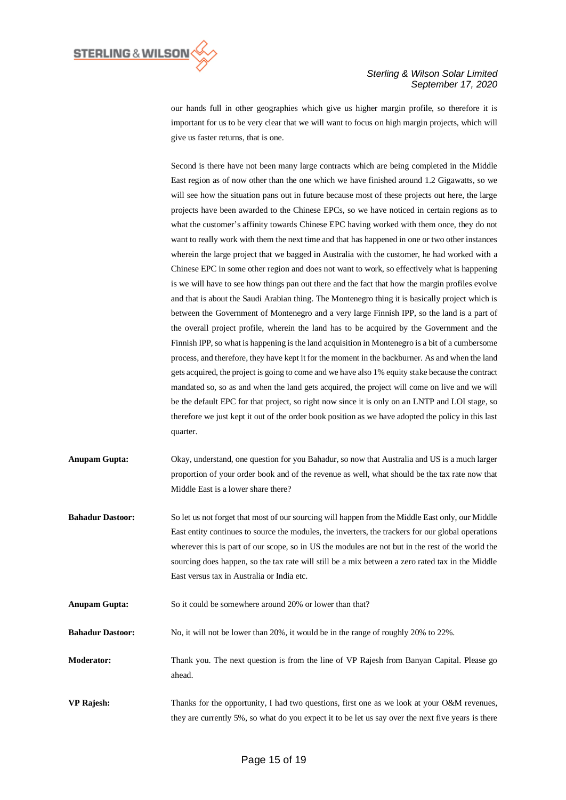

our hands full in other geographies which give us higher margin profile, so therefore it is important for us to be very clear that we will want to focus on high margin projects, which will give us faster returns, that is one.

Second is there have not been many large contracts which are being completed in the Middle East region as of now other than the one which we have finished around 1.2 Gigawatts, so we will see how the situation pans out in future because most of these projects out here, the large projects have been awarded to the Chinese EPCs, so we have noticed in certain regions as to what the customer's affinity towards Chinese EPC having worked with them once, they do not want to really work with them the next time and that has happened in one or two other instances wherein the large project that we bagged in Australia with the customer, he had worked with a Chinese EPC in some other region and does not want to work, so effectively what is happening is we will have to see how things pan out there and the fact that how the margin profiles evolve and that is about the Saudi Arabian thing. The Montenegro thing it is basically project which is between the Government of Montenegro and a very large Finnish IPP, so the land is a part of the overall project profile, wherein the land has to be acquired by the Government and the Finnish IPP, so what is happening is the land acquisition in Montenegro is a bit of a cumbersome process, and therefore, they have kept it for the moment in the backburner. As and when the land gets acquired, the project is going to come and we have also 1% equity stake because the contract mandated so, so as and when the land gets acquired, the project will come on live and we will be the default EPC for that project, so right now since it is only on an LNTP and LOI stage, so therefore we just kept it out of the order book position as we have adopted the policy in this last quarter.

- **Anupam Gupta:** Okay, understand, one question for you Bahadur, so now that Australia and US is a much larger proportion of your order book and of the revenue as well, what should be the tax rate now that Middle East is a lower share there?
- **Bahadur Dastoor:** So let us not forget that most of our sourcing will happen from the Middle East only, our Middle East entity continues to source the modules, the inverters, the trackers for our global operations wherever this is part of our scope, so in US the modules are not but in the rest of the world the sourcing does happen, so the tax rate will still be a mix between a zero rated tax in the Middle East versus tax in Australia or India etc.
- **Anupam Gupta:** So it could be somewhere around 20% or lower than that?

**Bahadur Dastoor:** No, it will not be lower than 20%, it would be in the range of roughly 20% to 22%.

**Moderator:** Thank you. The next question is from the line of VP Rajesh from Banyan Capital. Please go ahead.

**VP Rajesh:** Thanks for the opportunity, I had two questions, first one as we look at your O&M revenues, they are currently 5%, so what do you expect it to be let us say over the next five years is there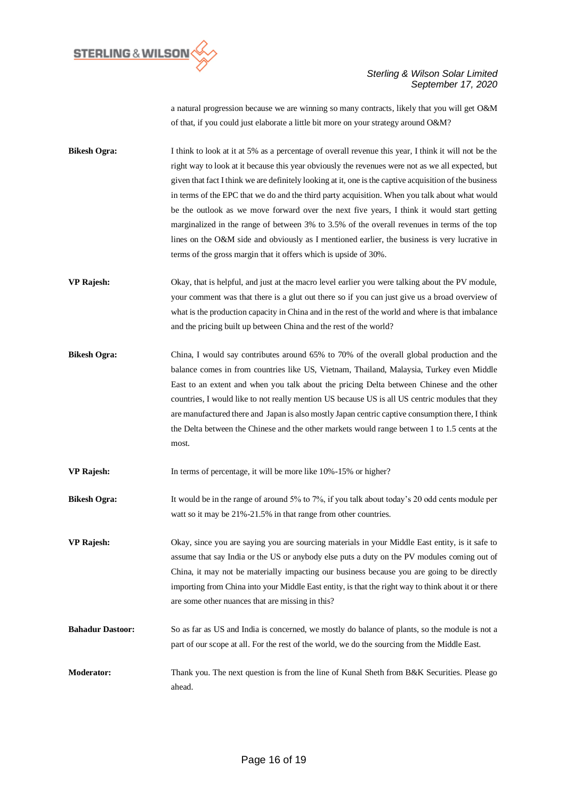

a natural progression because we are winning so many contracts, likely that you will get O&M of that, if you could just elaborate a little bit more on your strategy around O&M?

**Bikesh Ogra:** I think to look at it at 5% as a percentage of overall revenue this year, I think it will not be the right way to look at it because this year obviously the revenues were not as we all expected, but given that fact I think we are definitely looking at it, one is the captive acquisition of the business in terms of the EPC that we do and the third party acquisition. When you talk about what would be the outlook as we move forward over the next five years, I think it would start getting marginalized in the range of between 3% to 3.5% of the overall revenues in terms of the top lines on the O&M side and obviously as I mentioned earlier, the business is very lucrative in terms of the gross margin that it offers which is upside of 30%.

- **VP Rajesh:** Okay, that is helpful, and just at the macro level earlier you were talking about the PV module, your comment was that there is a glut out there so if you can just give us a broad overview of what is the production capacity in China and in the rest of the world and where is that imbalance and the pricing built up between China and the rest of the world?
- **Bikesh Ogra:** China, I would say contributes around 65% to 70% of the overall global production and the balance comes in from countries like US, Vietnam, Thailand, Malaysia, Turkey even Middle East to an extent and when you talk about the pricing Delta between Chinese and the other countries, I would like to not really mention US because US is all US centric modules that they are manufactured there and Japan is also mostly Japan centric captive consumption there, I think the Delta between the Chinese and the other markets would range between 1 to 1.5 cents at the most.
- **VP Rajesh:** In terms of percentage, it will be more like 10%-15% or higher?
- **Bikesh Ogra:** It would be in the range of around 5% to 7%, if you talk about today's 20 odd cents module per watt so it may be 21%-21.5% in that range from other countries.
- **VP Rajesh:** Okay, since you are saying you are sourcing materials in your Middle East entity, is it safe to assume that say India or the US or anybody else puts a duty on the PV modules coming out of China, it may not be materially impacting our business because you are going to be directly importing from China into your Middle East entity, is that the right way to think about it or there are some other nuances that are missing in this?
- **Bahadur Dastoor:** So as far as US and India is concerned, we mostly do balance of plants, so the module is not a part of our scope at all. For the rest of the world, we do the sourcing from the Middle East.
- **Moderator:** Thank you. The next question is from the line of Kunal Sheth from B&K Securities. Please go ahead.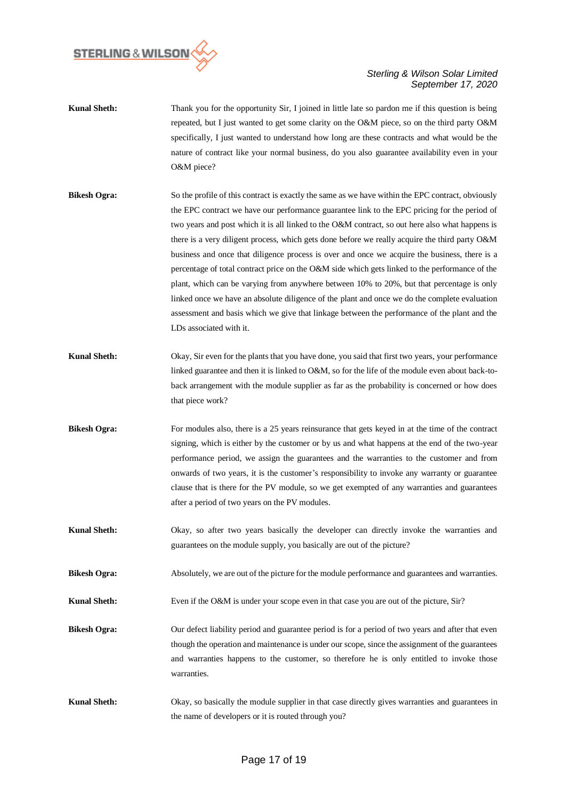

- **Kunal Sheth:** Thank you for the opportunity Sir, I joined in little late so pardon me if this question is being repeated, but I just wanted to get some clarity on the O&M piece, so on the third party O&M specifically, I just wanted to understand how long are these contracts and what would be the nature of contract like your normal business, do you also guarantee availability even in your O&M piece?
- **Bikesh Ogra:** So the profile of this contract is exactly the same as we have within the EPC contract, obviously the EPC contract we have our performance guarantee link to the EPC pricing for the period of two years and post which it is all linked to the O&M contract, so out here also what happens is there is a very diligent process, which gets done before we really acquire the third party O&M business and once that diligence process is over and once we acquire the business, there is a percentage of total contract price on the O&M side which gets linked to the performance of the plant, which can be varying from anywhere between 10% to 20%, but that percentage is only linked once we have an absolute diligence of the plant and once we do the complete evaluation assessment and basis which we give that linkage between the performance of the plant and the LDs associated with it.
- **Kunal Sheth:** Okay, Sir even for the plants that you have done, you said that first two years, your performance linked guarantee and then it is linked to O&M, so for the life of the module even about back-toback arrangement with the module supplier as far as the probability is concerned or how does that piece work?
- **Bikesh Ogra:** For modules also, there is a 25 years reinsurance that gets keyed in at the time of the contract signing, which is either by the customer or by us and what happens at the end of the two-year performance period, we assign the guarantees and the warranties to the customer and from onwards of two years, it is the customer's responsibility to invoke any warranty or guarantee clause that is there for the PV module, so we get exempted of any warranties and guarantees after a period of two years on the PV modules.
- **Kunal Sheth:** Okay, so after two years basically the developer can directly invoke the warranties and guarantees on the module supply, you basically are out of the picture?
- **Bikesh Ogra:** Absolutely, we are out of the picture for the module performance and guarantees and warranties.
- **Kunal Sheth:** Even if the O&M is under your scope even in that case you are out of the picture, Sir?
- **Bikesh Ogra:** Our defect liability period and guarantee period is for a period of two years and after that even though the operation and maintenance is under our scope, since the assignment of the guarantees and warranties happens to the customer, so therefore he is only entitled to invoke those warranties.
- **Kunal Sheth:** Okay, so basically the module supplier in that case directly gives warranties and guarantees in the name of developers or it is routed through you?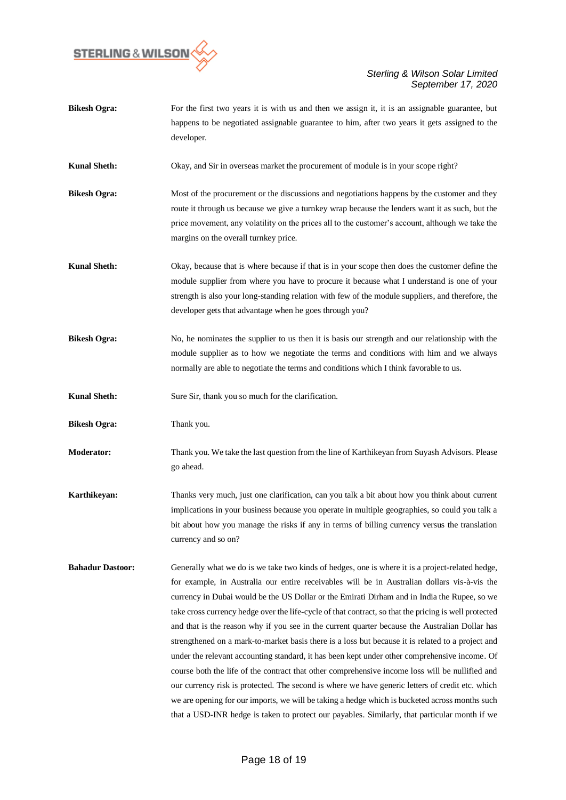

- **Bikesh Ogra:** For the first two years it is with us and then we assign it, it is an assignable guarantee, but happens to be negotiated assignable guarantee to him, after two years it gets assigned to the developer.
- **Kunal Sheth:** Okay, and Sir in overseas market the procurement of module is in your scope right?
- **Bikesh Ogra:** Most of the procurement or the discussions and negotiations happens by the customer and they route it through us because we give a turnkey wrap because the lenders want it as such, but the price movement, any volatility on the prices all to the customer's account, although we take the margins on the overall turnkey price.
- **Kunal Sheth:** Okay, because that is where because if that is in your scope then does the customer define the module supplier from where you have to procure it because what I understand is one of your strength is also your long-standing relation with few of the module suppliers, and therefore, the developer gets that advantage when he goes through you?
- **Bikesh Ogra:** No, he nominates the supplier to us then it is basis our strength and our relationship with the module supplier as to how we negotiate the terms and conditions with him and we always normally are able to negotiate the terms and conditions which I think favorable to us.

**Kunal Sheth:** Sure Sir, thank you so much for the clarification.

- **Bikesh Ogra:** Thank you.
- **Moderator:** Thank you. We take the last question from the line of Karthikeyan from Suyash Advisors. Please go ahead.
- **Karthikeyan:** Thanks very much, just one clarification, can you talk a bit about how you think about current implications in your business because you operate in multiple geographies, so could you talk a bit about how you manage the risks if any in terms of billing currency versus the translation currency and so on?
- **Bahadur Dastoor:** Generally what we do is we take two kinds of hedges, one is where it is a project-related hedge, for example, in Australia our entire receivables will be in Australian dollars vis-à-vis the currency in Dubai would be the US Dollar or the Emirati Dirham and in India the Rupee, so we take cross currency hedge over the life-cycle of that contract, so that the pricing is well protected and that is the reason why if you see in the current quarter because the Australian Dollar has strengthened on a mark-to-market basis there is a loss but because it is related to a project and under the relevant accounting standard, it has been kept under other comprehensive income. Of course both the life of the contract that other comprehensive income loss will be nullified and our currency risk is protected. The second is where we have generic letters of credit etc. which we are opening for our imports, we will be taking a hedge which is bucketed across months such that a USD-INR hedge is taken to protect our payables. Similarly, that particular month if we